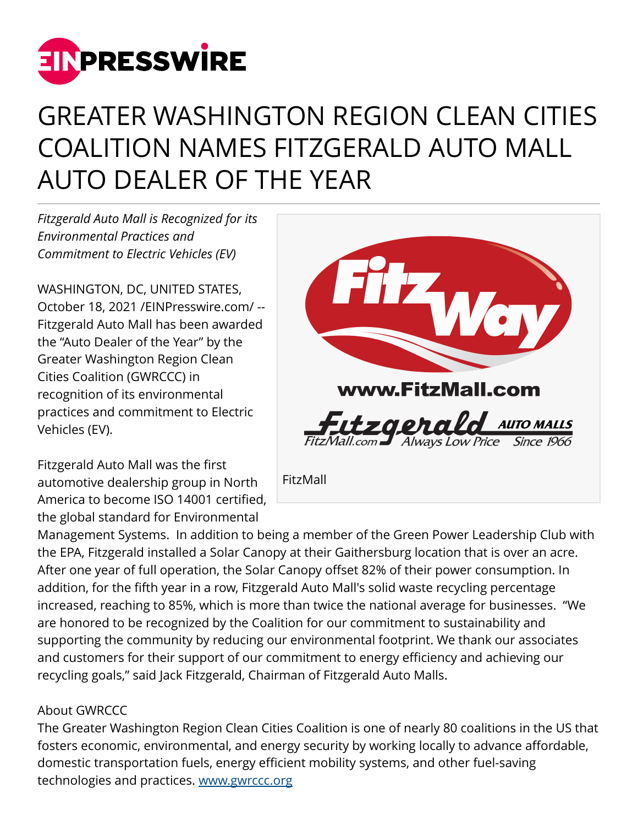

## GREATER WASHINGTON REGION CLEAN CITIES COALITION NAMES FITZGERALD AUTO MALL AUTO DEALER OF THE YEAR

*Fitzgerald Auto Mall is Recognized for its Environmental Practices and Commitment to Electric Vehicles (EV)*

WASHINGTON, DC, UNITED STATES, October 18, 2021 [/EINPresswire.com](http://www.einpresswire.com)/ -- Fitzgerald Auto Mall has been awarded the "Auto Dealer of the Year" by the Greater Washington Region Clean Cities Coalition (GWRCCC) in recognition of its environmental practices and commitment to Electric Vehicles (EV).

Fitzgerald Auto Mall was the first automotive dealership group in North America to become ISO 14001 certified, the global standard for Environmental



Management Systems. In addition to being a member of the Green Power Leadership Club with the EPA, Fitzgerald installed a Solar Canopy at their Gaithersburg location that is over an acre. After one year of full operation, the Solar Canopy offset 82% of their power consumption. In addition, for the fifth year in a row, Fitzgerald Auto Mall's solid waste recycling percentage increased, reaching to 85%, which is more than twice the national average for businesses. "We are honored to be recognized by the Coalition for our commitment to sustainability and supporting the community by reducing our environmental footprint. We thank our associates and customers for their support of our commitment to energy efficiency and achieving our recycling goals," said Jack Fitzgerald, Chairman of Fitzgerald Auto Malls.

## About GWRCCC

The Greater Washington Region Clean Cities Coalition is one of nearly 80 coalitions in the US that fosters economic, environmental, and energy security by working locally to advance affordable, domestic transportation fuels, energy efficient mobility systems, and other fuel-saving technologies and practices. [www.gwrccc.org](http://www.gwrccc.org)